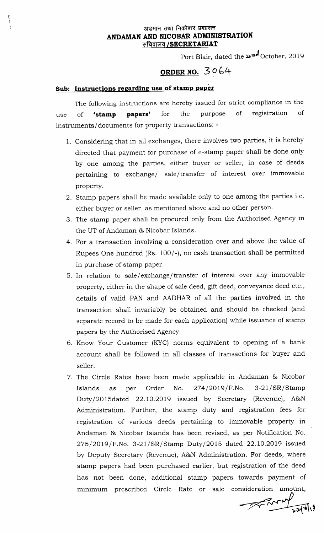#### अंडमान तथा निकोबार प्रशासन ANDAMAN AND NICOBAR ADMINISTRATION सचिवालय /SECRETARIAT

Port Blair, dated the **und** October, 2019

# ORDER NO. 30 6+

## Sub: Instructions regarding use of stamp paper

The following instructions are hereby issued for strict compliance in the use of **'stamp papers'** for the purpose of registration of instruments/documents for property transactions: -

- 1. Considering that in all exchanges, there involves two parties, it is hereby directed that payment for purchase of e-stamp paper shall be done only by one among the parties, either buyer or seller, in case of deeds pertaining to exchange/ sale/transfer of interest over immovable property.
- 2. Stamp papers shall be made available only to one among the parties i.e. either buyer or seller, as mentioned above and no other person.
- 3. The stamp paper shall be procured only from the Authorised Agency in the UT of Andaman & Nicobar Islands.
- 4. For a transaction involving a consideration over and above the value of Rupees One hundred (Rs. 100/-), no cash transaction shall be permitted in purchase of stamp paper.
- 5. In relation to sale/exchange/transfer of interest over any immovable property, either in the shape of sale deed, gift deed, conveyance deed etc., details of valid PAN and AADHAR of all the parties involved in the transaction shal1 invariably be obtained and should be checked (and separate record to be made for each application) while issuance of stamp papers by the Authorised Agency.
- 6. Know Your Customer (KYC) norms equivalent to opening of a bank account shall be followed in all classes of transactions for buyer and seller.
- 7. The Circle Rates have been made applicable in Andaman & Nicobar Islands as per Order No.  $274/2019$  /F.No.  $3-21/SR/Stamp$ Dutyl2OlSdated 22.1O.2OI9 issued by Secretary (Revenue), A&N Administration. Further, the stamp duty and registration fees for registration of various deeds pertaining to immovable property in Andaman & Nicobar Islands has been revised, as per Notification No. 275/2019/F.No. 3-21/SR/Stamp Duty/2015 dated 22.10.2019 issued by Deputy Secretary (Revenue), A&N Administreition. For deeds, where stamp papers had been purchased earlier, but registration of the deed has not been done, additional stamp papers towards payment of minimum prescribed Circle Rate or sale consideration amount,

 $\bigtimes$  de  $\bigtimes$